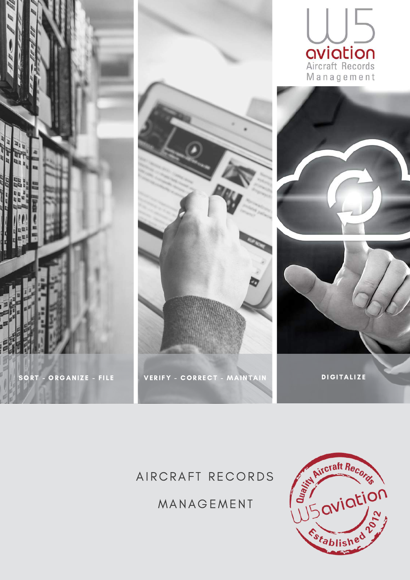

### AIRCRAFT RECORDS

MANAGEMENT

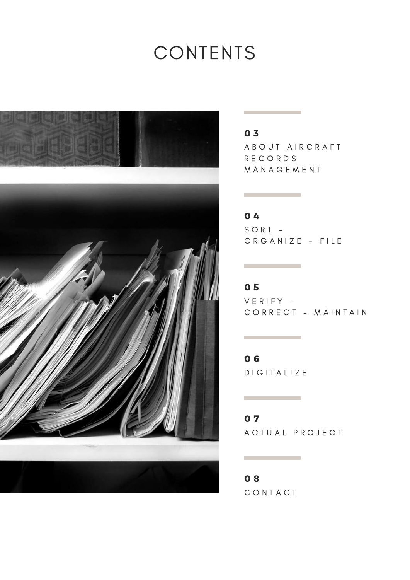# CONTENTS



### 0 3

A B O U T A I R C R A F T R E C O R D S **MANAGEMENT** 

### 0 4

the control of the control of the control of

 $\mathcal{L}^{\mathcal{L}}$  and  $\mathcal{L}^{\mathcal{L}}$  are the set of the set of the set of the set of  $\mathcal{L}^{\mathcal{L}}$ 

 $S ORT -$ O R G A N I Z E - FILE

 $V E R I F Y -$ CORRECT - MAINTAIN 0 5

D I G I T A L I Z E 0 6

 $\label{eq:2.1} \frac{1}{\sqrt{2}}\int_{\mathbb{R}^3}\frac{1}{\sqrt{2}}\left(\frac{1}{\sqrt{2}}\int_{\mathbb{R}^3}\frac{1}{\sqrt{2}}\left(\frac{1}{\sqrt{2}}\int_{\mathbb{R}^3}\frac{1}{\sqrt{2}}\left(\frac{1}{\sqrt{2}}\int_{\mathbb{R}^3}\frac{1}{\sqrt{2}}\right)\frac{1}{\sqrt{2}}\right)\frac{1}{\sqrt{2}}\right) \,d\mathcal{H}^{\frac{1}{2}}_{\frac{1}{2}}(\frac{1}{\sqrt{2}}\int_{\mathbb{R}^3}\frac{1}{\sqrt{$ 

0 7

A C T U A L P R O J E C T

C O N T A C T 0 8

the control of the control of the con-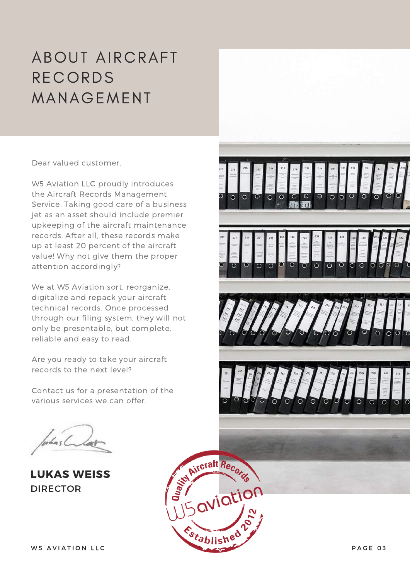### ABOUT AIRCRAFT RECORDS MANAGEMENT

Dear valued customer,

W5 Aviation LLC proudly introduces the Aircraft Records Management Service. Taking good care of a business jet as an asset should include premier upkeeping of the aircraft maintenance records. After all, these records make up at least 20 percent of the aircraft value! Why not give them the proper attention accordingly?

We at W5 Aviation sort, reorganize, digitalize and repack your aircraft technical records. Once processed through our filing system, they will not only be presentable, but complete, reliable and easy to read.

Are you ready to take your aircraft records to the next level?

Contact us for a presentation of the various services we can offer.

LUKAS WEISS DIRECTOR

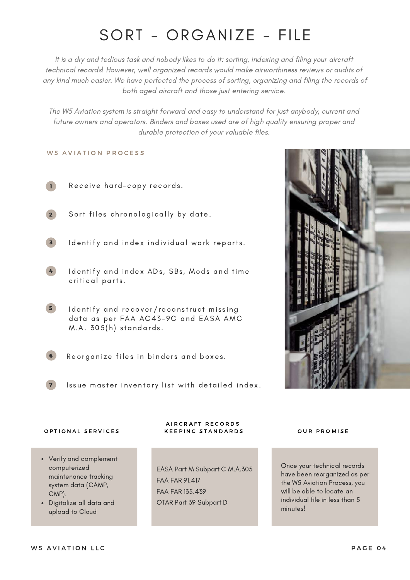### SORT - ORGANIZE - FILE

It is a dry and tedious task and nobody likes to do it: sorting, indexing and filing your aircraft technical records! However, well organized records would make airworthiness reviews or audits of any kind much easier. We have perfected the process of sorting, organizing and filing the records of both aged aircraft and those just entering service.

The W5 Aviation system is straight forward and easy to understand for just anybody, current and future owners and operators. Binders and boxes used are of high quality ensuring proper and durable protection of your valuable files.

#### W 5 A VIATION PROCESS



Receive hard-copy records.

2

Sort files chronologically by date.

3

Identify and index individual work reports.

- 4 Identify and index ADs, SBs, Mods and time critical parts.
- 5 Identify and recover/reconstruct missing data as per FAA AC43-9C and EASA AMC  $M.A. 305(h) standards.$
- 6

Reorganize files in binders and boxes.

7 Issue master inventory list with detailed index.



#### OPTIONAL SERVICES

- Verify and complement computerized maintenance tracking system data (CAMP, CMP).
- Digitalize all data and upload to Cloud

#### A I R C R A F T R E C O R D S K E E PING STANDARDS OUR PROMISE

EASA Part M Subpart C M.A.305 FAA FAR 91.417 FAA FAR 135.439 OTAR Part 39 Subpart D

Once your technical records have been reorganized as per the W5 Aviation Process, you will be able to locate an individual file in less than 5 minutes!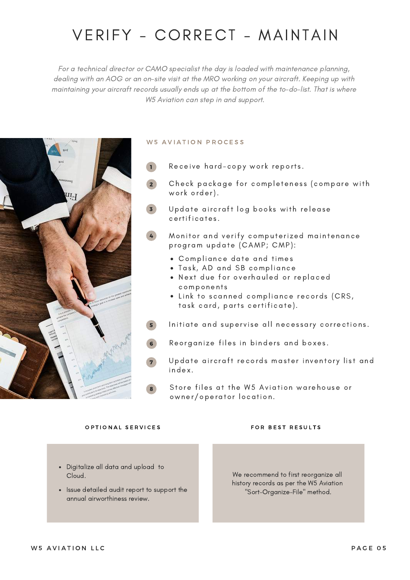### VERIFY - CORRECT - MAINTAIN

For a technical director or CAMO specialist the day is loaded with maintenance planning, dealing with an AOG or an on-site visit at the MRO working on your aircraft. Keeping up with maintaining your aircraft records usually ends up at the bottom of the to-do-list. That is where W5 Aviation can step in and support.



#### W 5 A VIATION PROCESS

- Receive hard-copy work reports. 1
- 2 Check package for completeness (compare with work order).
- 3 Update aircraft log books with release certificates .
- 4 Monitor and verify computerized maintenance program update (CAMP; CMP):
	- Compliance date and times
	- . Task, AD and SB compliance
	- . Next due for overhauled or replaced components
	- . Link to scanned compliance records (CRS, task card, parts certificate).
- 5 Initiate and supervise all necessary corrections.
- 6 Reorganize files in binders and boxes.
- 7 Update aircraft records master inventory list and i ndex .
	- Store files at the W5 Aviation warehouse or owner/operator location .

#### O P TIONAL SERVICES THE RESOLTS FOR BEST RESULTS

- Digitalize all data and upload to Cloud.
- Issue detailed audit report to support the annual airworthiness review.

We recommend to first reorganize all history records as per the W5 Aviation "Sort-Organize-File" method.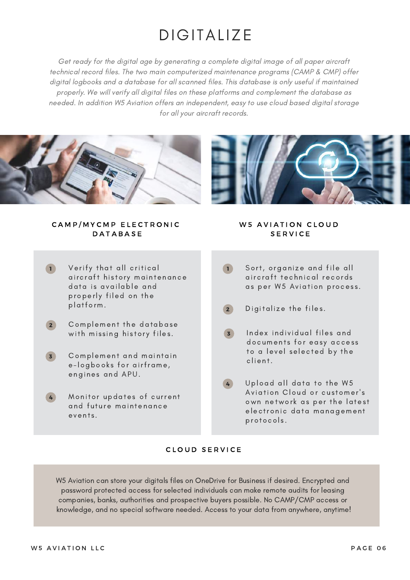### **DIGITALIZE**

Get ready for the digital age by generating a complete digital image of all paper aircraft technical record files. The two main computerized maintenance programs (CAMP & CMP) offer digital logbooks and a database for all scanned files. This database is only useful if maintained properly. We will verify all digital files on these platforms and complement the database as needed. In addition W5 Aviation offers an independent, easy to use cloud based digital storage for all your aircraft records.





CAMP/MYCMP ELECTRONIC **DATABASE** 

- Verify that all critical aircraft history maintenance data is available and properly filed on the platform. 1
- $\sqrt{2}$ Complement the database with missing history files.
- 3 Complement and maintain e-logbooks for airframe, engines and APU.
- 4 Monitor updates of current and future maintenance events.

#### W 5 A VIATION CLOUD **SERVICE**

- Sort, organize and file all aircraft technical records as per W5 Aviation process.  $\left( \begin{array}{c} \mathbf{1} \end{array} \right)$
- $\left( 2\right)$ Digitalize the files.
- 3 Index individual files and documents for easy access to a level selected by the cl ien t.
- 4 Upload all data to the W5 Aviation Cloud or customer's own network as per the latest electronic data management protocols.

### CLOUD SERVICE

W5 Aviation can store your digitals files on OneDrive for Business if desired. Encrypted and password protected access for selected individuals can make remote audits for leasing companies, banks, authorities and prospective buyers possible. No CAMP/CMP access or knowledge, and no special software needed. Access to your data from anywhere, anytime!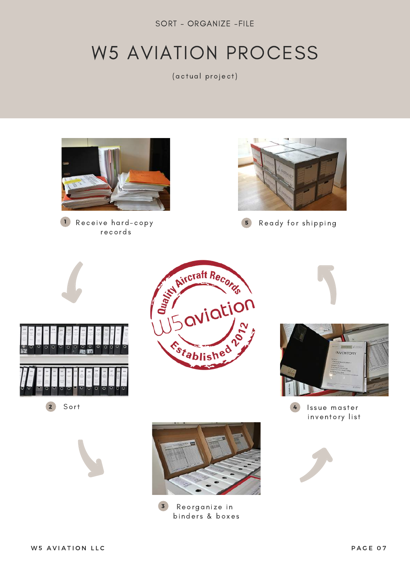SORT - ORGANIZE -FILE

# W5 AVIATION PROCESS

(actual project)



records



1 Receive hard-copy **1 August 1** Ready for shipping 5



2 Sort







Issue master inventory list 4





Reorganize in bi nder s & boxes 3